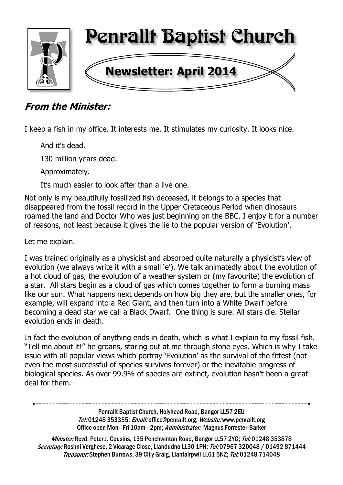

# **From the Minister:**

I keep a fish in my office. It interests me. It stimulates my curiosity. It looks nice.

And it's dead.

130 million years dead.

Approximately.

It's much easier to look after than a live one.

Not only is my beautifully fossilized fish deceased, it belongs to a species that disappeared from the fossil record in the Upper Cretaceous Period when dinosaurs roamed the land and Doctor Who was just beginning on the BBC. I enjoy it for a number of reasons, not least because it gives the lie to the popular version of 'Evolution'.

Let me explain.

I was trained originally as a physicist and absorbed quite naturally a physicist's view of evolution (we always write it with a small 'e'). We talk animatedly about the evolution of a hot cloud of gas, the evolution of a weather system or (my favourite) the evolution of a star. All stars begin as a cloud of gas which comes together to form a burning mass like our sun. What happens next depends on how big they are, but the smaller ones, for example, will expand into a Red Giant, and then turn into a White Dwarf before becoming a dead star we call a Black Dwarf. One thing is sure. All stars die. Stellar evolution ends in death.

In fact the evolution of anything ends in death, which is what I explain to my fossil fish. "Tell me about it!" he groans, staring out at me through stone eyes. Which is why I take issue with all popular views which portray 'Evolution' as the survival of the fittest (not even the most successful of species survives forever) or the inevitable progress of biological species. As over 99.9% of species are extinct, evolution hasn't been a great deal for them.

> Penrallt Baptist Church, Holyhead Road, Bangor LL57 2EU Tel:01248 353355; Email: office@penrallt.org; Website: www.penrallt.org Office open Mon-Fri 10am - 2pm; Administrator: Magnus Forrester-Barker

Minister: Revd. Peter J. Cousins, 135 Penchwintan Road, Bangor LL57 2YG; Tel: 01248 353878 Secretary: Roshni Verghese, 2 Vicarage Close, Llandudno LL30 1PH; Tel: 07967 320048 / 01492 871444 Treasurer: Stephen Burrows, 39 Cil y Graig, Llanfairpwll LL61 5NZ; Tel: 01248 714048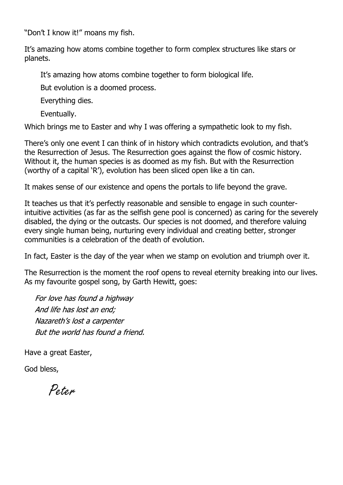"Don't I know it!" moans my fish.

It's amazing how atoms combine together to form complex structures like stars or planets.

It's amazing how atoms combine together to form biological life.

But evolution is a doomed process.

Everything dies.

Eventually.

Which brings me to Easter and why I was offering a sympathetic look to my fish.

There's only one event I can think of in history which contradicts evolution, and that's the Resurrection of Jesus. The Resurrection goes against the flow of cosmic history. Without it, the human species is as doomed as my fish. But with the Resurrection (worthy of a capital 'R'), evolution has been sliced open like a tin can.

It makes sense of our existence and opens the portals to life beyond the grave.

It teaches us that it's perfectly reasonable and sensible to engage in such counterintuitive activities (as far as the selfish gene pool is concerned) as caring for the severely disabled, the dying or the outcasts. Our species is not doomed, and therefore valuing every single human being, nurturing every individual and creating better, stronger communities is a celebration of the death of evolution.

In fact, Easter is the day of the year when we stamp on evolution and triumph over it.

The Resurrection is the moment the roof opens to reveal eternity breaking into our lives. As my favourite gospel song, by Garth Hewitt, goes:

For love has found a highway And life has lost an end; Nazareth's lost a carpenter But the world has found a friend.

Have a great Easter,

God bless,

Peter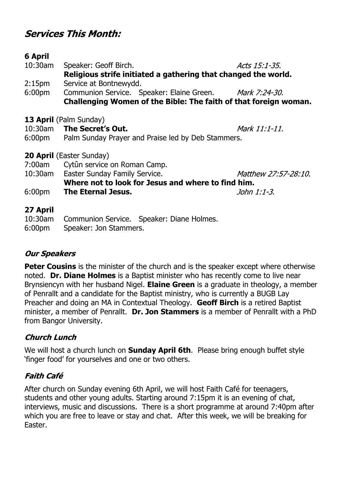# **Services This Month:**

| <b>6 April</b>     |                                                                  |                             |  |  |  |
|--------------------|------------------------------------------------------------------|-----------------------------|--|--|--|
| $10:30$ am         | Speaker: Geoff Birch.                                            | Acts 15:1-35.               |  |  |  |
|                    | Religious strife initiated a gathering that changed the world.   |                             |  |  |  |
| 2:15 <sub>pm</sub> | Service at Bontnewydd.                                           |                             |  |  |  |
| 6:00 <sub>pm</sub> | Communion Service. Speaker: Elaine Green. Mark 7:24-30.          |                             |  |  |  |
|                    | Challenging Women of the Bible: The faith of that foreign woman. |                             |  |  |  |
|                    | <b>13 April</b> (Palm Sunday)                                    |                             |  |  |  |
|                    | 10:30am The Secret's Out.                                        | Mark 11:1-11.               |  |  |  |
|                    | 6:00pm Palm Sunday Prayer and Praise led by Deb Stammers.        |                             |  |  |  |
|                    | <b>20 April</b> (Easter Sunday)                                  |                             |  |  |  |
|                    | 7:00am Cytûn service on Roman Camp.                              |                             |  |  |  |
|                    | 10:30am Easter Sunday Family Service.                            | <i>Matthew 27:57-28:10.</i> |  |  |  |
|                    | Where not to look for Jesus and where to find him.               |                             |  |  |  |
| 6:00 <sub>pm</sub> | The Eternal Jesus.                                               | John 1:1-3.                 |  |  |  |
| 27 April           |                                                                  |                             |  |  |  |
| 10:30am            | Communion Service. Speaker: Diane Holmes.                        |                             |  |  |  |

6:00pm Speaker: Jon Stammers.

## **Our Speakers**

**Peter Cousins** is the minister of the church and is the speaker except where otherwise noted. **Dr. Diane Holmes** is a Baptist minister who has recently come to live near Brynsiencyn with her husband Nigel. **Elaine Green** is a graduate in theology, a member of Penrallt and a candidate for the Baptist ministry, who is currently a BUGB Lay Preacher and doing an MA in Contextual Theology. **Geoff Birch** is a retired Baptist minister, a member of Penrallt. **Dr. Jon Stammers** is a member of Penrallt with a PhD from Bangor University.

# **Church Lunch**

We will host a church lunch on **Sunday April 6th**. Please bring enough buffet style 'finger food' for yourselves and one or two others.

## **Faith Café**

After church on Sunday evening 6th April, we will host Faith Café for teenagers, students and other young adults. Starting around 7:15pm it is an evening of chat, interviews, music and discussions. There is a short programme at around 7:40pm after which you are free to leave or stay and chat. After this week, we will be breaking for Easter.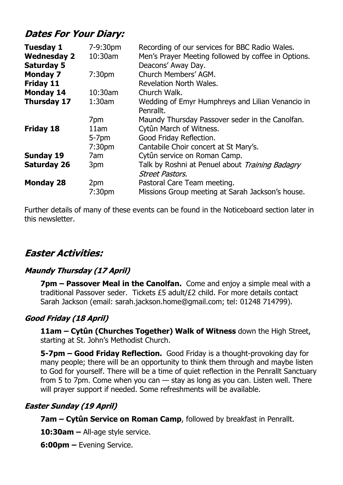# **Dates For Your Diary:**

| <b>Tuesday 1</b><br><b>Wednesday 2</b><br><b>Saturday 5</b> | 7-9:30pm<br>10:30am | Recording of our services for BBC Radio Wales.<br>Men's Prayer Meeting followed by coffee in Options.<br>Deacons' Away Day. |
|-------------------------------------------------------------|---------------------|-----------------------------------------------------------------------------------------------------------------------------|
| <b>Monday 7</b>                                             | 7:30 <sub>pm</sub>  | Church Members' AGM.                                                                                                        |
| <b>Friday 11</b>                                            |                     | Revelation North Wales.                                                                                                     |
| <b>Monday 14</b>                                            | 10:30am             | Church Walk.                                                                                                                |
| <b>Thursday 17</b>                                          | $1:30$ am           | Wedding of Emyr Humphreys and Lilian Venancio in<br>Penrallt.                                                               |
|                                                             | 7pm                 | Maundy Thursday Passover seder in the Canolfan.                                                                             |
| <b>Friday 18</b>                                            | 11am                | Cytûn March of Witness.                                                                                                     |
|                                                             | $5-7pm$             | Good Friday Reflection.                                                                                                     |
|                                                             | 7:30 <sub>pm</sub>  | Cantabile Choir concert at St Mary's.                                                                                       |
| <b>Sunday 19</b>                                            | 7am                 | Cytûn service on Roman Camp.                                                                                                |
| <b>Saturday 26</b>                                          | 3pm                 | Talk by Roshni at Penuel about Training Badagry<br><b>Street Pastors.</b>                                                   |
| <b>Monday 28</b>                                            | 2pm                 | Pastoral Care Team meeting.                                                                                                 |
|                                                             | 7:30 <sub>pm</sub>  | Missions Group meeting at Sarah Jackson's house.                                                                            |

Further details of many of these events can be found in the Noticeboard section later in this newsletter.

# **Easter Activities:**

## **Maundy Thursday (17 April)**

**7pm – Passover Meal in the Canolfan.** Come and enjoy a simple meal with a traditional Passover seder. Tickets £5 adult/£2 child. For more details contact Sarah Jackson (email: sarah.jackson.home@gmail.com; tel: 01248 714799).

# **Good Friday (18 April)**

**11am – Cytûn (Churches Together) Walk of Witness** down the High Street, starting at St. John's Methodist Church.

**5-7pm – Good Friday Reflection.** Good Friday is a thought-provoking day for many people; there will be an opportunity to think them through and maybe listen to God for yourself. There will be a time of quiet reflection in the Penrallt Sanctuary from 5 to 7pm. Come when you can — stay as long as you can. Listen well. There will prayer support if needed. Some refreshments will be available.

# **Easter Sunday (19 April)**

**7am – Cytûn Service on Roman Camp**, followed by breakfast in Penrallt.

**10:30am –** All-age style service.

**6:00pm –** Evening Service.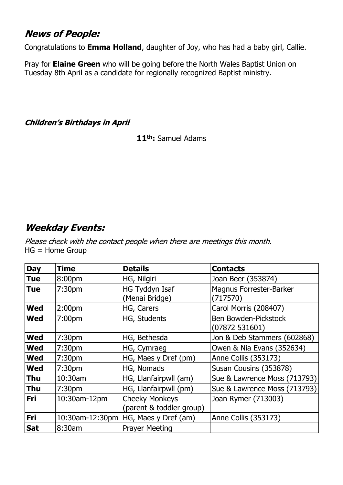# **News of People:**

Congratulations to **Emma Holland**, daughter of Joy, who has had a baby girl, Callie.

Pray for **Elaine Green** who will be going before the North Wales Baptist Union on Tuesday 8th April as a candidate for regionally recognized Baptist ministry.

**Children's Birthdays in April** 

**11th:** Samuel Adams

# **Weekday Events:**

Please check with the contact people when there are meetings this month. HG = Home Group

| <b>Day</b> | <b>Time</b>        | <b>Details</b>                                    | <b>Contacts</b>                       |
|------------|--------------------|---------------------------------------------------|---------------------------------------|
| <b>Tue</b> | 8:00pm             | HG, Nilgiri                                       | Joan Beer (353874)                    |
| <b>Tue</b> | 7:30 <sub>pm</sub> | HG Tyddyn Isaf<br>(Menai Bridge)                  | Magnus Forrester-Barker<br>(717570)   |
| <b>Wed</b> | 2:00 <sub>pm</sub> | HG, Carers                                        | Carol Morris (208407)                 |
| <b>Wed</b> | 7:00pm             | HG, Students                                      | Ben Bowden-Pickstock<br>(07872531601) |
| <b>Wed</b> | 7:30 <sub>pm</sub> | HG, Bethesda                                      | Jon & Deb Stammers (602868)           |
| <b>Wed</b> | 7:30 <sub>pm</sub> | HG, Cymraeg                                       | Owen & Nia Evans (352634)             |
| <b>Wed</b> | 7:30 <sub>pm</sub> | HG, Maes y Dref (pm)                              | Anne Collis (353173)                  |
| <b>Wed</b> | 7:30 <sub>pm</sub> | HG, Nomads                                        | Susan Cousins (353878)                |
| <b>Thu</b> | 10:30am            | HG, Llanfairpwll (am)                             | Sue & Lawrence Moss (713793)          |
| <b>Thu</b> | 7:30 <sub>pm</sub> | HG, Llanfairpwll (pm)                             | Sue & Lawrence Moss (713793)          |
| Fri        | 10:30am-12pm       | <b>Cheeky Monkeys</b><br>(parent & toddler group) | Joan Rymer (713003)                   |
| <b>Fri</b> | 10:30am-12:30pm    | HG, Maes y Dref (am)                              | Anne Collis (353173)                  |
| <b>Sat</b> | 8:30am             | <b>Prayer Meeting</b>                             |                                       |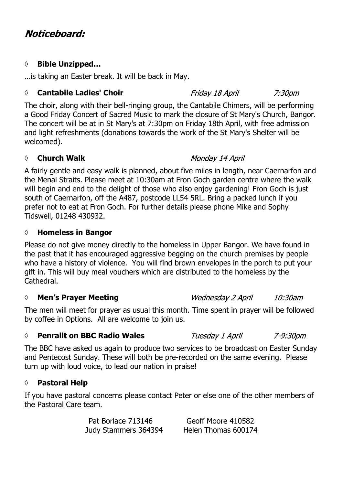# Noticeboard:

### **◊ Bible Unzipped…**

…is taking an Easter break. It will be back in May.

#### *◊* **Cantabile Ladies' Choir**

The choir, along with their bell-ringing group, the Cantabile Chimers, will be performing a Good Friday Concert of Sacred Music to mark the closure of St Mary's Church, Bangor. The concert will be at in St Mary's at 7:30pm on Friday 18th April, with free admission and light refreshments (donations towards the work of the St Mary's Shelter will be welcomed).

### *◊* **Church Walk**

A fairly gentle and easy walk is planned, about five miles in length, near Caernarfon and the Menai Straits. Please meet at 10:30am at Fron Goch garden centre where the walk will begin and end to the delight of those who also enjoy gardening! Fron Goch is just south of Caernarfon, off the A487, postcode LL54 5RL. Bring a packed lunch if you prefer not to eat at Fron Goch. For further details please phone Mike and Sophy Tidswell, 01248 430932.

#### **◊ Homeless in Bangor**

Please do not give money directly to the homeless in Upper Bangor. We have found in the past that it has encouraged aggressive begging on the church premises by people who have a history of violence. You will find brown envelopes in the porch to put your gift in. This will buy meal vouchers which are distributed to the homeless by the Cathedral.

#### *◊* **Men's Prayer Meeting**

The men will meet for prayer as usual this month. Time spent in prayer will be followed by coffee in Options. All are welcome to join us.

#### *◊* **Penrallt on BBC Radio Wales**

The BBC have asked us again to produce two services to be broadcast on Easter Sunday and Pentecost Sunday. These will both be pre-recorded on the same evening. Please turn up with loud voice, to lead our nation in praise!

## **◊ Pastoral Help**

If you have pastoral concerns please contact Peter or else one of the other members of the Pastoral Care team.

> Pat Borlace 713146 Geoff Moore 410582 Judy Stammers 364394 Helen Thomas 600174

Tuesday 1 April

Monday 14 April

Friday 18 April

7:30pm

**Wednesday 2 April** 10:30am

7-9:30pm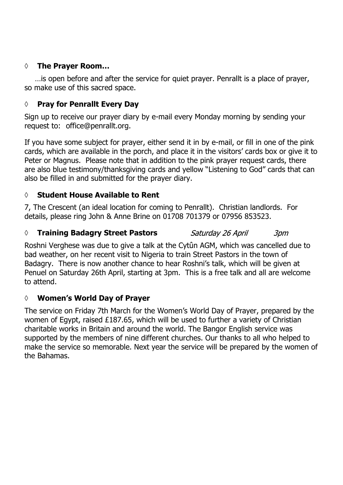## **◊ The Prayer Room…**

…is open before and after the service for quiet prayer. Penrallt is a place of prayer, so make use of this sacred space.

## **◊ Pray for Penrallt Every Day**

Sign up to receive our prayer diary by e-mail every Monday morning by sending your request to: office@penrallt.org.

If you have some subject for prayer, either send it in by e-mail, or fill in one of the pink cards, which are available in the porch, and place it in the visitors' cards box or give it to Peter or Magnus. Please note that in addition to the pink prayer request cards, there are also blue testimony/thanksgiving cards and yellow "Listening to God" cards that can also be filled in and submitted for the prayer diary.

## **◊ Student House Available to Rent**

7, The Crescent (an ideal location for coming to Penrallt). Christian landlords. For details, please ring John & Anne Brine on 01708 701379 or 07956 853523.

#### *◊* **Training Badagry Street Pastors**

Saturday 26 April

*3pm* 

Roshni Verghese was due to give a talk at the Cytûn AGM, which was cancelled due to bad weather, on her recent visit to Nigeria to train Street Pastors in the town of Badagry. There is now another chance to hear Roshni's talk, which will be given at Penuel on Saturday 26th April, starting at 3pm. This is a free talk and all are welcome to attend.

## **◊ Women's World Day of Prayer**

The service on Friday 7th March for the Women's World Day of Prayer, prepared by the women of Egypt, raised £187.65, which will be used to further a variety of Christian charitable works in Britain and around the world. The Bangor English service was supported by the members of nine different churches. Our thanks to all who helped to make the service so memorable. Next year the service will be prepared by the women of the Bahamas.